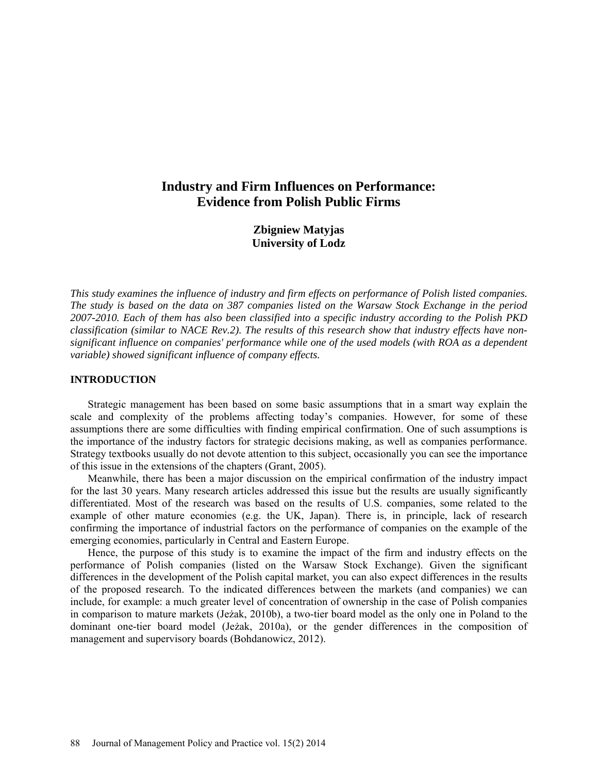# **Industry and Firm Influences on Performance: Evidence from Polish Public Firms**

**Zbigniew Matyjas University of Lodz**

*This study examines the influence of industry and firm effects on performance of Polish listed companies. The study is based on the data on 387 companies listed on the Warsaw Stock Exchange in the period 2007-2010. Each of them has also been classified into a specific industry according to the Polish PKD classification (similar to NACE Rev.2). The results of this research show that industry effects have nonsignificant influence on companies' performance while one of the used models (with ROA as a dependent variable) showed significant influence of company effects.*

#### **INTRODUCTION**

Strategic management has been based on some basic assumptions that in a smart way explain the scale and complexity of the problems affecting today's companies. However, for some of these assumptions there are some difficulties with finding empirical confirmation. One of such assumptions is the importance of the industry factors for strategic decisions making, as well as companies performance. Strategy textbooks usually do not devote attention to this subject, occasionally you can see the importance of this issue in the extensions of the chapters (Grant, 2005).

Meanwhile, there has been a major discussion on the empirical confirmation of the industry impact for the last 30 years. Many research articles addressed this issue but the results are usually significantly differentiated. Most of the research was based on the results of U.S. companies, some related to the example of other mature economies (e.g. the UK, Japan). There is, in principle, lack of research confirming the importance of industrial factors on the performance of companies on the example of the emerging economies, particularly in Central and Eastern Europe.

Hence, the purpose of this study is to examine the impact of the firm and industry effects on the performance of Polish companies (listed on the Warsaw Stock Exchange). Given the significant differences in the development of the Polish capital market, you can also expect differences in the results of the proposed research. To the indicated differences between the markets (and companies) we can include, for example: a much greater level of concentration of ownership in the case of Polish companies in comparison to mature markets (Jeżak, 2010b), a two-tier board model as the only one in Poland to the dominant one-tier board model (Jeżak, 2010a), or the gender differences in the composition of management and supervisory boards (Bohdanowicz, 2012).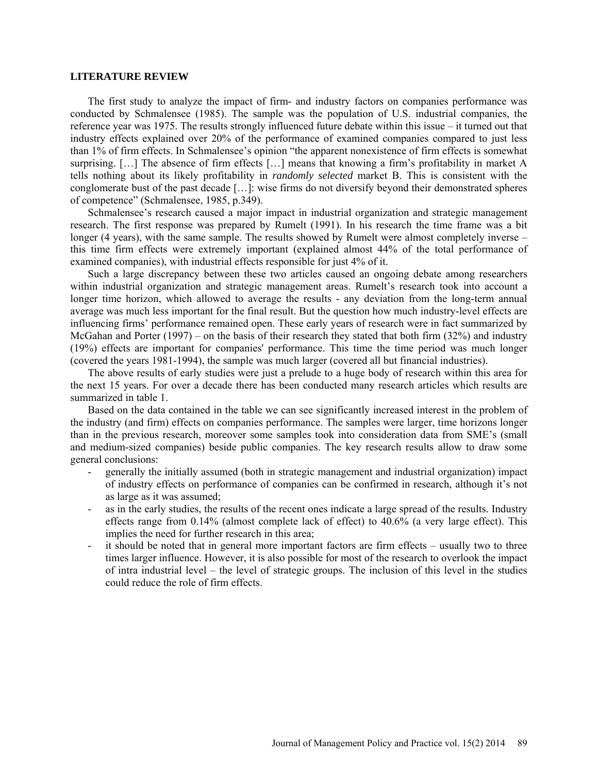#### **LITERATURE REVIEW**

The first study to analyze the impact of firm- and industry factors on companies performance was conducted by Schmalensee (1985). The sample was the population of U.S. industrial companies, the reference year was 1975. The results strongly influenced future debate within this issue – it turned out that industry effects explained over 20% of the performance of examined companies compared to just less than 1% of firm effects. In Schmalensee's opinion "the apparent nonexistence of firm effects is somewhat surprising. […] The absence of firm effects […] means that knowing a firm's profitability in market A tells nothing about its likely profitability in *randomly selected* market B. This is consistent with the conglomerate bust of the past decade […]: wise firms do not diversify beyond their demonstrated spheres of competence" (Schmalensee, 1985, p.349).

Schmalensee's research caused a major impact in industrial organization and strategic management research. The first response was prepared by Rumelt (1991). In his research the time frame was a bit longer (4 years), with the same sample. The results showed by Rumelt were almost completely inverse – this time firm effects were extremely important (explained almost 44% of the total performance of examined companies), with industrial effects responsible for just 4% of it.

Such a large discrepancy between these two articles caused an ongoing debate among researchers within industrial organization and strategic management areas. Rumelt's research took into account a longer time horizon, which allowed to average the results - any deviation from the long-term annual average was much less important for the final result. But the question how much industry-level effects are influencing firms' performance remained open. These early years of research were in fact summarized by McGahan and Porter (1997) – on the basis of their research they stated that both firm (32%) and industry (19%) effects are important for companies' performance. This time the time period was much longer (covered the years 1981-1994), the sample was much larger (covered all but financial industries).

The above results of early studies were just a prelude to a huge body of research within this area for the next 15 years. For over a decade there has been conducted many research articles which results are summarized in table 1.

Based on the data contained in the table we can see significantly increased interest in the problem of the industry (and firm) effects on companies performance. The samples were larger, time horizons longer than in the previous research, moreover some samples took into consideration data from SME's (small and medium-sized companies) beside public companies. The key research results allow to draw some general conclusions:

- generally the initially assumed (both in strategic management and industrial organization) impact of industry effects on performance of companies can be confirmed in research, although it's not as large as it was assumed;
- as in the early studies, the results of the recent ones indicate a large spread of the results. Industry effects range from 0.14% (almost complete lack of effect) to 40.6% (a very large effect). This implies the need for further research in this area;
- it should be noted that in general more important factors are firm effects usually two to three times larger influence. However, it is also possible for most of the research to overlook the impact of intra industrial level – the level of strategic groups. The inclusion of this level in the studies could reduce the role of firm effects.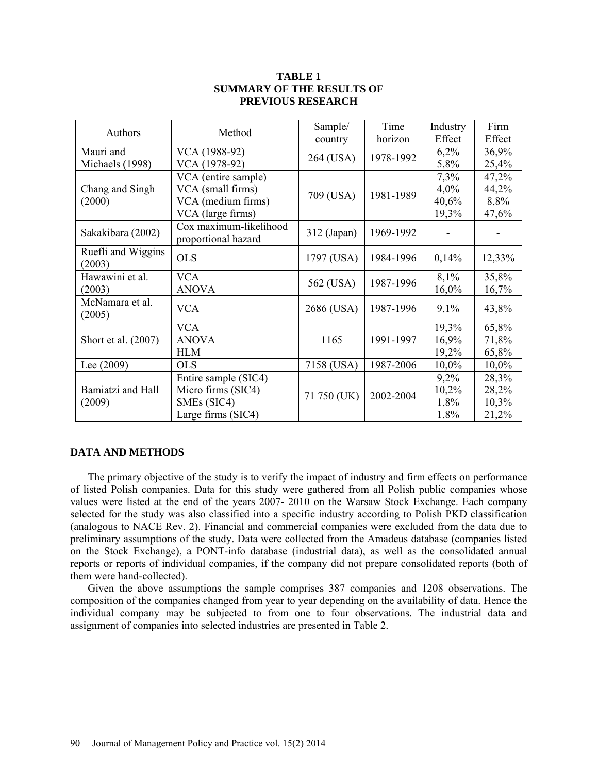## **TABLE 1 SUMMARY OF THE RESULTS OF PREVIOUS RESEARCH**

| Authors                   | Method                                        | Sample/     | Time      | Industry | Firm     |
|---------------------------|-----------------------------------------------|-------------|-----------|----------|----------|
|                           |                                               | country     | horizon   | Effect   | Effect   |
| Mauri and                 | VCA (1988-92)                                 |             | 1978-1992 | 6,2%     | 36,9%    |
| Michaels (1998)           | VCA (1978-92)                                 | 264 (USA)   |           | 5,8%     | 25,4%    |
|                           | VCA (entire sample)                           |             |           | 7,3%     | 47,2%    |
| Chang and Singh           | VCA (small firms)                             | 709 (USA)   | 1981-1989 | $4,0\%$  | 44,2%    |
| (2000)                    | VCA (medium firms)                            |             |           | 40,6%    | 8,8%     |
|                           | VCA (large firms)                             |             |           | 19,3%    | 47,6%    |
| Sakakibara (2002)         | Cox maximum-likelihood<br>proportional hazard | 312 (Japan) | 1969-1992 |          |          |
| Ruefli and Wiggins        | <b>OLS</b>                                    |             |           |          |          |
| (2003)                    |                                               | 1797 (USA)  | 1984-1996 | 0,14%    | 12,33%   |
| Hawawini et al.           | <b>VCA</b>                                    |             | 1987-1996 | 8,1%     | 35,8%    |
| (2003)                    | <b>ANOVA</b>                                  | 562 (USA)   |           | 16,0%    | 16,7%    |
| McNamara et al.<br>(2005) | <b>VCA</b>                                    | 2686 (USA)  | 1987-1996 | 9,1%     | 43,8%    |
|                           | <b>VCA</b>                                    |             |           | 19,3%    | 65,8%    |
| Short et al. (2007)       | <b>ANOVA</b>                                  | 1165        | 1991-1997 | 16,9%    | 71,8%    |
|                           | <b>HLM</b>                                    |             |           | 19,2%    | 65,8%    |
| Lee $(2009)$              | <b>OLS</b>                                    | 7158 (USA)  | 1987-2006 | $10,0\%$ | $10,0\%$ |
|                           | Entire sample (SIC4)                          |             |           | 9,2%     | 28,3%    |
| Bamiatzi and Hall         | Micro firms (SIC4)                            | 71 750 (UK) | 2002-2004 | 10,2%    | 28,2%    |
| (2009)                    | SME <sub>s</sub> (SIC4)                       |             |           | 1,8%     | 10,3%    |
|                           | Large firms (SIC4)                            |             |           | 1,8%     | 21,2%    |

## **DATA AND METHODS**

The primary objective of the study is to verify the impact of industry and firm effects on performance of listed Polish companies. Data for this study were gathered from all Polish public companies whose values were listed at the end of the years 2007- 2010 on the Warsaw Stock Exchange. Each company selected for the study was also classified into a specific industry according to Polish PKD classification (analogous to NACE Rev. 2). Financial and commercial companies were excluded from the data due to preliminary assumptions of the study. Data were collected from the Amadeus database (companies listed on the Stock Exchange), a PONT-info database (industrial data), as well as the consolidated annual reports or reports of individual companies, if the company did not prepare consolidated reports (both of them were hand-collected).

Given the above assumptions the sample comprises 387 companies and 1208 observations. The composition of the companies changed from year to year depending on the availability of data. Hence the individual company may be subjected to from one to four observations. The industrial data and assignment of companies into selected industries are presented in Table 2.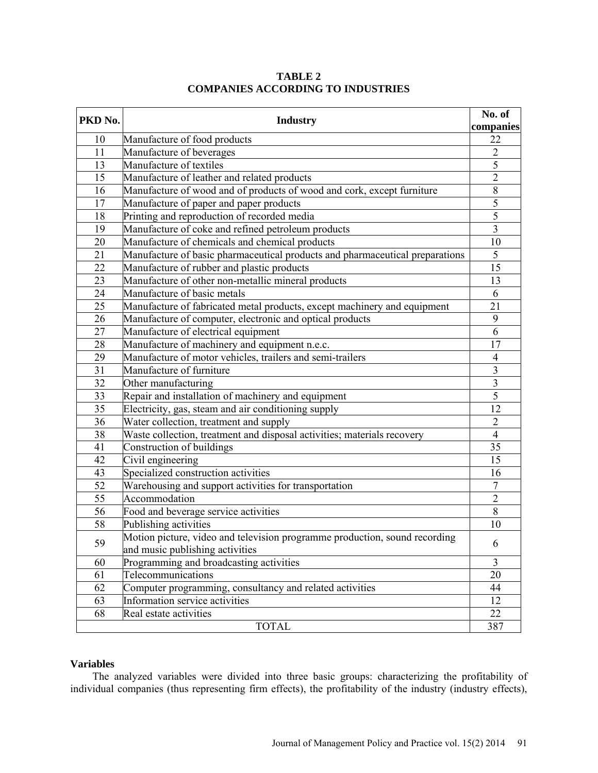| PKD No.         | <b>Industry</b>                                                                                               | No. of<br>companies     |
|-----------------|---------------------------------------------------------------------------------------------------------------|-------------------------|
| 10              | Manufacture of food products                                                                                  | 22                      |
| 11              | Manufacture of beverages                                                                                      | $\overline{2}$          |
| 13              | Manufacture of textiles                                                                                       | 5                       |
| 15              | Manufacture of leather and related products                                                                   | $\overline{2}$          |
| 16              | Manufacture of wood and of products of wood and cork, except furniture                                        | 8                       |
| 17              | Manufacture of paper and paper products                                                                       | 5                       |
| 18              | Printing and reproduction of recorded media                                                                   | $\overline{5}$          |
| 19              | Manufacture of coke and refined petroleum products                                                            | $\overline{\mathbf{3}}$ |
| 20              | Manufacture of chemicals and chemical products                                                                | 10                      |
| 21              | Manufacture of basic pharmaceutical products and pharmaceutical preparations                                  | $\overline{5}$          |
| 22              | Manufacture of rubber and plastic products                                                                    | 15                      |
| 23              | Manufacture of other non-metallic mineral products                                                            | 13                      |
| 24              | Manufacture of basic metals                                                                                   | 6                       |
| 25              | Manufacture of fabricated metal products, except machinery and equipment                                      | 21                      |
| 26              | Manufacture of computer, electronic and optical products                                                      | 9                       |
| 27              | Manufacture of electrical equipment                                                                           | $\overline{6}$          |
| 28              | Manufacture of machinery and equipment n.e.c.                                                                 | 17                      |
| 29              | Manufacture of motor vehicles, trailers and semi-trailers                                                     | 4                       |
| $\overline{31}$ | Manufacture of furniture                                                                                      | $\overline{3}$          |
| 32              | Other manufacturing                                                                                           | $\mathfrak{Z}$          |
| 33              | Repair and installation of machinery and equipment                                                            | $\overline{5}$          |
| 35              | Electricity, gas, steam and air conditioning supply                                                           | 12                      |
| 36              | Water collection, treatment and supply                                                                        | $\overline{2}$          |
| 38              | Waste collection, treatment and disposal activities; materials recovery                                       | $\overline{4}$          |
| 41              | Construction of buildings                                                                                     | 35                      |
| 42              | Civil engineering                                                                                             | 15                      |
| 43              | Specialized construction activities                                                                           | 16                      |
| 52              | Warehousing and support activities for transportation                                                         | $\overline{7}$          |
| 55              | Accommodation                                                                                                 | $\overline{2}$          |
| $\overline{56}$ | Food and beverage service activities                                                                          | 8                       |
| 58              | Publishing activities                                                                                         | 10                      |
| 59              | Motion picture, video and television programme production, sound recording<br>and music publishing activities | 6                       |
| 60              | Programming and broadcasting activities                                                                       | 3                       |
| 61              | Telecommunications                                                                                            | 20                      |
| 62              | Computer programming, consultancy and related activities                                                      | 44                      |
| 63              | Information service activities                                                                                | 12                      |
| 68              | Real estate activities                                                                                        | 22                      |
|                 | <b>TOTAL</b>                                                                                                  | 387                     |

**TABLE 2 COMPANIES ACCORDING TO INDUSTRIES**

## **Variables**

The analyzed variables were divided into three basic groups: characterizing the profitability of individual companies (thus representing firm effects), the profitability of the industry (industry effects),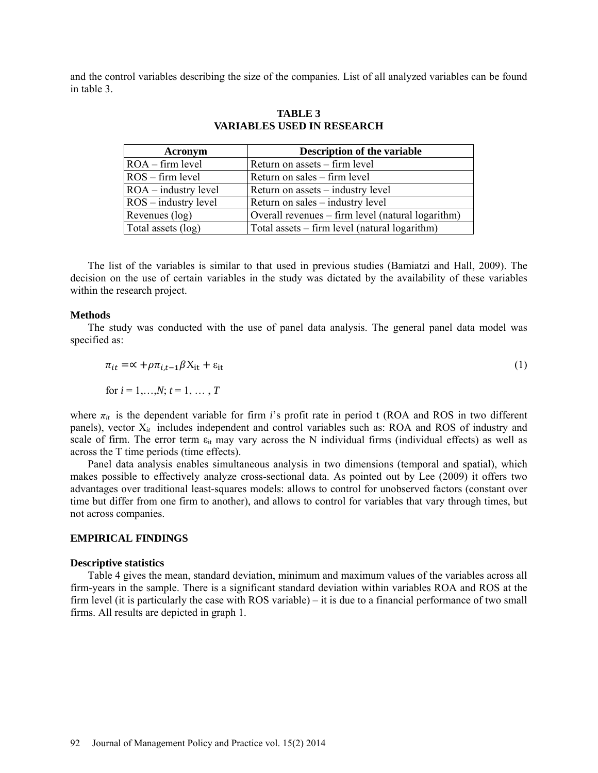and the control variables describing the size of the companies. List of all analyzed variables can be found in table 3.

| Acronym                       | <b>Description of the variable</b>                |  |  |
|-------------------------------|---------------------------------------------------|--|--|
| $ROA - firm level$            | Return on assets – firm level                     |  |  |
| $\text{ROS}$ – firm level     | Return on sales – firm level                      |  |  |
| $ROA - industry level$        | Return on assets – industry level                 |  |  |
| $\text{ROS}$ – industry level | Return on sales – industry level                  |  |  |
| Revenues (log)                | Overall revenues – firm level (natural logarithm) |  |  |
| Total assets (log)            | Total assets – firm level (natural logarithm)     |  |  |

**TABLE 3 VARIABLES USED IN RESEARCH**

The list of the variables is similar to that used in previous studies (Bamiatzi and Hall, 2009). The decision on the use of certain variables in the study was dictated by the availability of these variables within the research project.

#### **Methods**

The study was conducted with the use of panel data analysis. The general panel data model was specified as:

$$
\pi_{it} = \alpha + \rho \pi_{i,t-1} \beta X_{it} + \varepsilon_{it}
$$
  
for  $i = 1,...,N$ ;  $t = 1, ..., T$  (1)

where  $\pi_{it}$  is the dependent variable for firm *i*'s profit rate in period t (ROA and ROS in two different panels), vector X<sub>it</sub> includes independent and control variables such as: ROA and ROS of industry and scale of firm. The error term  $\varepsilon_{it}$  may vary across the N individual firms (individual effects) as well as across the T time periods (time effects).

Panel data analysis enables simultaneous analysis in two dimensions (temporal and spatial), which makes possible to effectively analyze cross-sectional data. As pointed out by Lee (2009) it offers two advantages over traditional least-squares models: allows to control for unobserved factors (constant over time but differ from one firm to another), and allows to control for variables that vary through times, but not across companies.

## **EMPIRICAL FINDINGS**

## **Descriptive statistics**

Table 4 gives the mean, standard deviation, minimum and maximum values of the variables across all firm-years in the sample. There is a significant standard deviation within variables ROA and ROS at the firm level (it is particularly the case with ROS variable) – it is due to a financial performance of two small firms. All results are depicted in graph 1.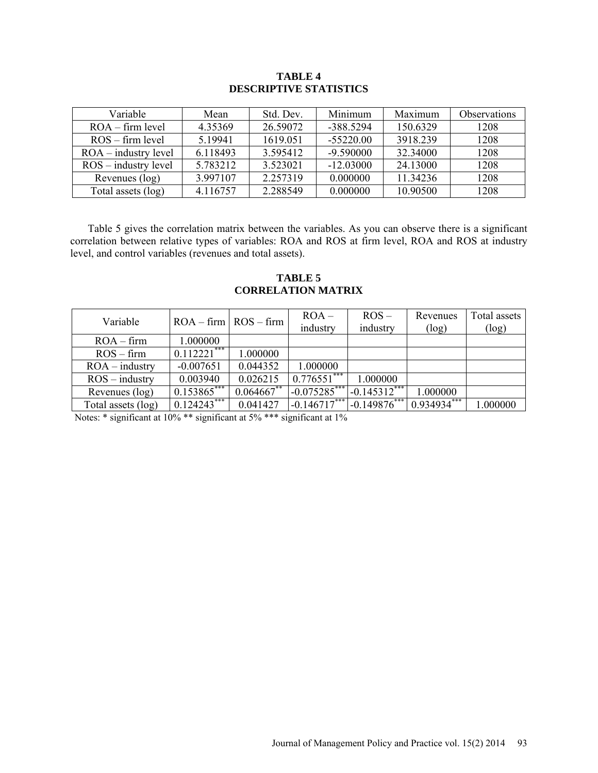## **TABLE 4 DESCRIPTIVE STATISTICS**

| <b>Variable</b>        | Mean     | Std. Dev. | Minimum     | Maximum  | <b>Observations</b> |
|------------------------|----------|-----------|-------------|----------|---------------------|
| $ROA - firm level$     | 4.35369  | 26.59072  | $-3885294$  | 150.6329 | 1208                |
| $ROS - firm level$     | 5.19941  | 1619.051  | $-55220.00$ | 3918.239 | 1208                |
| $ROA - industry$ level | 6.118493 | 3.595412  | $-9.590000$ | 32.34000 | 1208                |
| $ROS - industry$ level | 5 783212 | 3 523021  | $-12.03000$ | 24.13000 | 1208                |
| Revenues (log)         | 3.997107 | 2.257319  | 0.000000    | 11.34236 | 1208                |
| Total assets (log)     | 4.116757 | 2.288549  | 0.000000    | 10.90500 | 1208                |

Table 5 gives the correlation matrix between the variables. As you can observe there is a significant correlation between relative types of variables: ROA and ROS at firm level, ROA and ROS at industry level, and control variables (revenues and total assets).

## **TABLE 5 CORRELATION MATRIX**

| Variable           | $ROA - firm   ROS - firm$ |               | $ROA -$<br>industry | $ROS -$<br>industry           | Revenues<br>(log)           | Total assets<br>(log) |
|--------------------|---------------------------|---------------|---------------------|-------------------------------|-----------------------------|-----------------------|
| $ROA - firm$       | 1.000000                  |               |                     |                               |                             |                       |
| $ROS - firm$       | $0.112221***$             | 1.000000      |                     |                               |                             |                       |
| $ROA - industry$   | $-0.007651$               | 0.044352      | 1.000000            |                               |                             |                       |
| $ROS - industry$   | 0.003940                  | 0.026215      | $0.776551***$       | 1.000000                      |                             |                       |
| Revenues (log)     | $0.153865***$             | $0.064667$ ** |                     | $-0.075285***$ $-0.145312***$ | 1.000000                    |                       |
| Total assets (log) | $0.124243***$             | 0.041427      |                     | $-0.146717***$ $-0.149876***$ | $0.93493\overline{4^{***}}$ | 1.000000              |

Notes: \* significant at 10% \*\* significant at 5% \*\*\* significant at 1%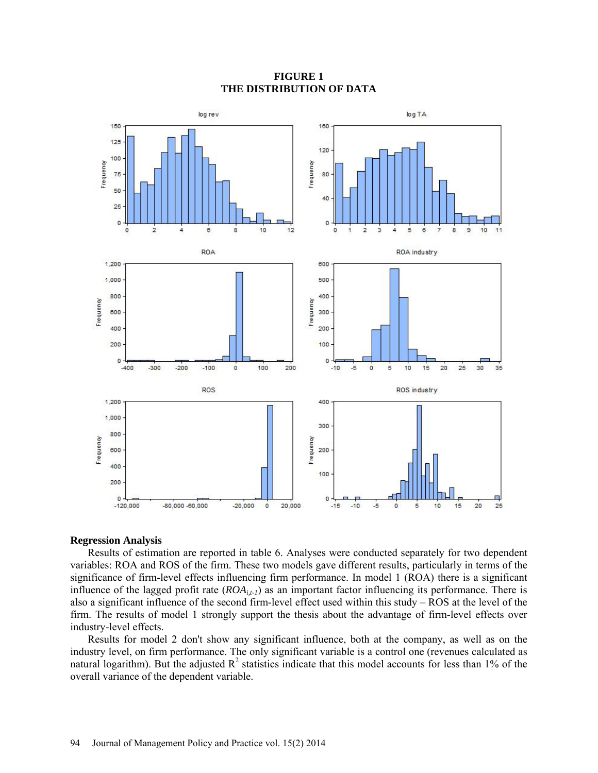

## **FIGURE 1 THE DISTRIBUTION OF DATA**

#### **Regression Analysis**

Results of estimation are reported in table 6. Analyses were conducted separately for two dependent variables: ROA and ROS of the firm. These two models gave different results, particularly in terms of the significance of firm-level effects influencing firm performance. In model 1 (ROA) there is a significant influence of the lagged profit rate (*ROAi,t-1*) as an important factor influencing its performance. There is also a significant influence of the second firm-level effect used within this study – ROS at the level of the firm. The results of model 1 strongly support the thesis about the advantage of firm-level effects over industry-level effects.

Results for model 2 don't show any significant influence, both at the company, as well as on the industry level, on firm performance. The only significant variable is a control one (revenues calculated as natural logarithm). But the adjusted  $R^2$  statistics indicate that this model accounts for less than 1% of the overall variance of the dependent variable.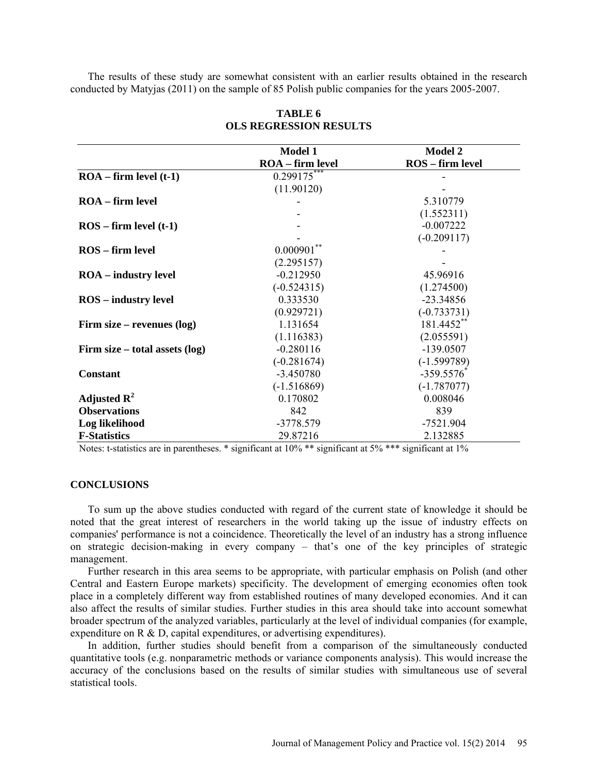The results of these study are somewhat consistent with an earlier results obtained in the research conducted by Matyjas (2011) on the sample of 85 Polish public companies for the years 2005-2007.

|                                  | <b>Model 1</b>   | <b>Model 2</b>          |
|----------------------------------|------------------|-------------------------|
|                                  | ROA - firm level | <b>ROS</b> - firm level |
| $ROA - firm level (t-1)$         | $0.299175$ ***   |                         |
|                                  | (11.90120)       |                         |
| $ROA - firm level$               |                  | 5.310779                |
|                                  |                  | (1.552311)              |
| $ROS - firm level (t-1)$         |                  | $-0.007222$             |
|                                  |                  | $(-0.209117)$           |
| ROS – firm level                 | $0.000901$ **    |                         |
|                                  | (2.295157)       |                         |
| <b>ROA</b> – industry level      | $-0.212950$      | 45.96916                |
|                                  | $(-0.524315)$    | (1.274500)              |
| <b>ROS</b> – industry level      | 0.333530         | $-23.34856$             |
|                                  | (0.929721)       | $(-0.733731)$           |
| Firm size – revenues $(log)$     | 1.131654         | 181.4452**              |
|                                  | (1.116383)       | (2.055591)              |
| Firm size $-$ total assets (log) | $-0.280116$      | $-139.0507$             |
|                                  | $(-0.281674)$    | $(-1.599789)$           |
| <b>Constant</b>                  | $-3.450780$      | $-359.5576$             |
|                                  | $(-1.516869)$    | $(-1.787077)$           |
| Adjusted $\mathbb{R}^2$          | 0.170802         | 0.008046                |
| <b>Observations</b>              | 842              | 839                     |
| Log likelihood                   | -3778.579        | $-7521.904$             |
| <b>F-Statistics</b>              | 29.87216         | 2.132885                |

## **TABLE 6 OLS REGRESSION RESULTS**

Notes: t-statistics are in parentheses. \* significant at 10% \*\* significant at 5% \*\*\* significant at 1%

#### **CONCLUSIONS**

To sum up the above studies conducted with regard of the current state of knowledge it should be noted that the great interest of researchers in the world taking up the issue of industry effects on companies' performance is not a coincidence. Theoretically the level of an industry has a strong influence on strategic decision-making in every company – that's one of the key principles of strategic management.

Further research in this area seems to be appropriate, with particular emphasis on Polish (and other Central and Eastern Europe markets) specificity. The development of emerging economies often took place in a completely different way from established routines of many developed economies. And it can also affect the results of similar studies. Further studies in this area should take into account somewhat broader spectrum of the analyzed variables, particularly at the level of individual companies (for example, expenditure on R & D, capital expenditures, or advertising expenditures).

In addition, further studies should benefit from a comparison of the simultaneously conducted quantitative tools (e.g. nonparametric methods or variance components analysis). This would increase the accuracy of the conclusions based on the results of similar studies with simultaneous use of several statistical tools.